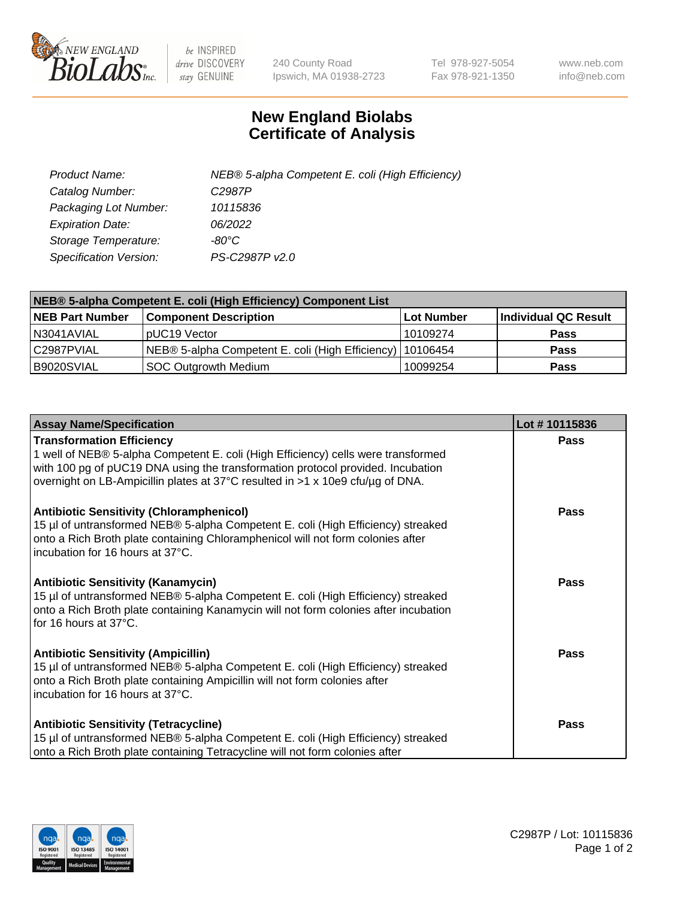

 $be$  INSPIRED drive DISCOVERY stay GENUINE

240 County Road Ipswich, MA 01938-2723 Tel 978-927-5054 Fax 978-921-1350 www.neb.com info@neb.com

## **New England Biolabs Certificate of Analysis**

| Product Name:           | NEB® 5-alpha Competent E. coli (High Efficiency) |
|-------------------------|--------------------------------------------------|
| Catalog Number:         | C <sub>2987</sub> P                              |
| Packaging Lot Number:   | 10115836                                         |
| <b>Expiration Date:</b> | 06/2022                                          |
| Storage Temperature:    | -80°C                                            |
| Specification Version:  | PS-C2987P v2.0                                   |

| NEB® 5-alpha Competent E. coli (High Efficiency) Component List |                                                             |            |                      |  |
|-----------------------------------------------------------------|-------------------------------------------------------------|------------|----------------------|--|
| <b>NEB Part Number</b>                                          | <b>Component Description</b>                                | Lot Number | Individual QC Result |  |
| N3041AVIAL                                                      | pUC19 Vector                                                | 10109274   | <b>Pass</b>          |  |
| C2987PVIAL                                                      | NEB® 5-alpha Competent E. coli (High Efficiency)   10106454 |            | <b>Pass</b>          |  |
| B9020SVIAL                                                      | SOC Outgrowth Medium                                        | 10099254   | <b>Pass</b>          |  |

| <b>Assay Name/Specification</b>                                                                                                                                                                                                                                                            | Lot #10115836 |
|--------------------------------------------------------------------------------------------------------------------------------------------------------------------------------------------------------------------------------------------------------------------------------------------|---------------|
| <b>Transformation Efficiency</b><br>1 well of NEB® 5-alpha Competent E. coli (High Efficiency) cells were transformed<br>with 100 pg of pUC19 DNA using the transformation protocol provided. Incubation<br>overnight on LB-Ampicillin plates at 37°C resulted in >1 x 10e9 cfu/µg of DNA. | Pass          |
| <b>Antibiotic Sensitivity (Chloramphenicol)</b><br>15 µl of untransformed NEB® 5-alpha Competent E. coli (High Efficiency) streaked<br>onto a Rich Broth plate containing Chloramphenicol will not form colonies after<br>incubation for 16 hours at 37°C.                                 | Pass          |
| <b>Antibiotic Sensitivity (Kanamycin)</b><br>15 µl of untransformed NEB® 5-alpha Competent E. coli (High Efficiency) streaked<br>onto a Rich Broth plate containing Kanamycin will not form colonies after incubation<br>for 16 hours at 37°C.                                             | <b>Pass</b>   |
| <b>Antibiotic Sensitivity (Ampicillin)</b><br>15 µl of untransformed NEB® 5-alpha Competent E. coli (High Efficiency) streaked<br>onto a Rich Broth plate containing Ampicillin will not form colonies after<br>incubation for 16 hours at 37°C.                                           | <b>Pass</b>   |
| <b>Antibiotic Sensitivity (Tetracycline)</b><br>15 µl of untransformed NEB® 5-alpha Competent E. coli (High Efficiency) streaked<br>onto a Rich Broth plate containing Tetracycline will not form colonies after                                                                           | Pass          |